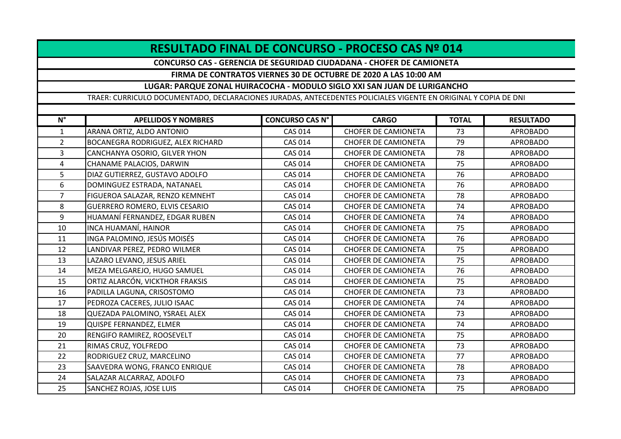## **RESULTADO FINAL DE CONCURSO - PROCESO CAS Nº 014**

**CONCURSO CAS - GERENCIA DE SEGURIDAD CIUDADANA - CHOFER DE CAMIONETA**

## **FIRMA DE CONTRATOS VIERNES 30 DE OCTUBRE DE 2020 A LAS 10:00 AM**

## **LUGAR: PARQUE ZONAL HUIRACOCHA - MODULO SIGLO XXI SAN JUAN DE LURIGANCHO**

TRAER: CURRICULO DOCUMENTADO, DECLARACIONES JURADAS, ANTECEDENTES POLICIALES VIGENTE EN ORIGINAL Y COPIA DE DNI

| $N^{\circ}$    | <b>APELLIDOS Y NOMBRES</b>        | <b>CONCURSO CAS N°</b> | <b>CARGO</b>               | <b>TOTAL</b> | <b>RESULTADO</b> |
|----------------|-----------------------------------|------------------------|----------------------------|--------------|------------------|
| $\mathbf{1}$   | ARANA ORTIZ, ALDO ANTONIO         | <b>CAS 014</b>         | <b>CHOFER DE CAMIONETA</b> | 73           | <b>APROBADO</b>  |
| $\overline{2}$ | BOCANEGRA RODRIGUEZ, ALEX RICHARD | <b>CAS 014</b>         | <b>CHOFER DE CAMIONETA</b> | 79           | <b>APROBADO</b>  |
| 3              | CANCHANYA OSORIO, GILVER YHON     | <b>CAS 014</b>         | <b>CHOFER DE CAMIONETA</b> | 78           | <b>APROBADO</b>  |
| $\overline{4}$ | CHANAME PALACIOS, DARWIN          | <b>CAS 014</b>         | <b>CHOFER DE CAMIONETA</b> | 75           | <b>APROBADO</b>  |
| 5              | DIAZ GUTIERREZ, GUSTAVO ADOLFO    | <b>CAS 014</b>         | <b>CHOFER DE CAMIONETA</b> | 76           | <b>APROBADO</b>  |
| 6              | DOMINGUEZ ESTRADA, NATANAEL       | <b>CAS 014</b>         | <b>CHOFER DE CAMIONETA</b> | 76           | <b>APROBADO</b>  |
| $\overline{7}$ | FIGUEROA SALAZAR, RENZO KEMNEHT   | <b>CAS 014</b>         | <b>CHOFER DE CAMIONETA</b> | 78           | <b>APROBADO</b>  |
| 8              | GUERRERO ROMERO, ELVIS CESARIO    | <b>CAS 014</b>         | <b>CHOFER DE CAMIONETA</b> | 74           | <b>APROBADO</b>  |
| 9              | HUAMANÍ FERNANDEZ, EDGAR RUBEN    | <b>CAS 014</b>         | <b>CHOFER DE CAMIONETA</b> | 74           | <b>APROBADO</b>  |
| 10             | INCA HUAMANÍ, HAINOR              | <b>CAS 014</b>         | <b>CHOFER DE CAMIONETA</b> | 75           | <b>APROBADO</b>  |
| 11             | INGA PALOMINO, JESÚS MOISÉS       | <b>CAS 014</b>         | <b>CHOFER DE CAMIONETA</b> | 76           | <b>APROBADO</b>  |
| 12             | LANDIVAR PEREZ, PEDRO WILMER      | <b>CAS 014</b>         | <b>CHOFER DE CAMIONETA</b> | 75           | <b>APROBADO</b>  |
| 13             | LAZARO LEVANO, JESUS ARIEL        | <b>CAS 014</b>         | <b>CHOFER DE CAMIONETA</b> | 75           | <b>APROBADO</b>  |
| 14             | MEZA MELGAREJO, HUGO SAMUEL       | <b>CAS 014</b>         | <b>CHOFER DE CAMIONETA</b> | 76           | <b>APROBADO</b>  |
| 15             | ORTIZ ALARCÓN, VICKTHOR FRAKSIS   | <b>CAS 014</b>         | <b>CHOFER DE CAMIONETA</b> | 75           | <b>APROBADO</b>  |
| 16             | PADILLA LAGUNA, CRISOSTOMO        | <b>CAS 014</b>         | <b>CHOFER DE CAMIONETA</b> | 73           | <b>APROBADO</b>  |
| 17             | PEDROZA CACERES, JULIO ISAAC      | <b>CAS 014</b>         | <b>CHOFER DE CAMIONETA</b> | 74           | <b>APROBADO</b>  |
| 18             | QUEZADA PALOMINO, YSRAEL ALEX     | <b>CAS 014</b>         | <b>CHOFER DE CAMIONETA</b> | 73           | <b>APROBADO</b>  |
| 19             | QUISPE FERNANDEZ, ELMER           | <b>CAS 014</b>         | <b>CHOFER DE CAMIONETA</b> | 74           | <b>APROBADO</b>  |
| 20             | RENGIFO RAMIREZ, ROOSEVELT        | <b>CAS 014</b>         | <b>CHOFER DE CAMIONETA</b> | 75           | <b>APROBADO</b>  |
| 21             | RIMAS CRUZ, YOLFREDO              | <b>CAS 014</b>         | <b>CHOFER DE CAMIONETA</b> | 73           | <b>APROBADO</b>  |
| 22             | RODRIGUEZ CRUZ, MARCELINO         | <b>CAS 014</b>         | <b>CHOFER DE CAMIONETA</b> | 77           | <b>APROBADO</b>  |
| 23             | SAAVEDRA WONG, FRANCO ENRIQUE     | <b>CAS 014</b>         | <b>CHOFER DE CAMIONETA</b> | 78           | <b>APROBADO</b>  |
| 24             | SALAZAR ALCARRAZ, ADOLFO          | <b>CAS 014</b>         | <b>CHOFER DE CAMIONETA</b> | 73           | <b>APROBADO</b>  |
| 25             | SANCHEZ ROJAS, JOSE LUIS          | <b>CAS 014</b>         | <b>CHOFER DE CAMIONETA</b> | 75           | <b>APROBADO</b>  |